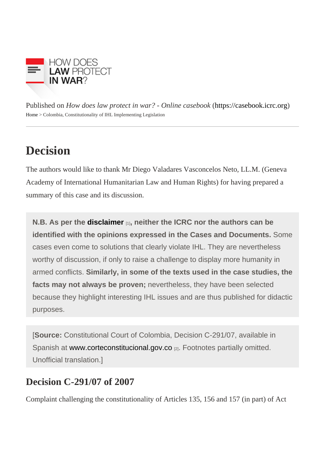Published on How does law protect in war? - Online caseboot these (/caseb[ook](https://casebook.icrc.org).icrc.org) Home> Colombia, Constitutionality of IHL Implementing Legislation

# Decision

The authors would like to thank Mr Diego Valadares Vasconcelos Neto, LL.M. (Geneva Academy of International Humanitarian Law and Human Rights) for having prepared a summary of this case and its discussion.

N.B. As per the [disclaimer](https://casebook.icrc.org/disclaimer-and-copyright)  $_{[1]}$ , neither the ICRC nor the authors can be identified with the opinions expressed in the Cases and Documents. Some cases even come to solutions that clearly violate IHL. They are nevertheless worthy of discussion, if only to raise a challenge to display more humanity in armed conflicts. Similarly, in some of the texts used in the case studies, the facts may not always be proven; nevertheless, they have been selected because they highlight interesting IHL issues and are thus published for didactic purposes.

[Source: Constitutional Court of Colombia, Decision C-291/07, available in Spanish at [www.corteconstitucional.gov.co](http://www.corteconstitucional.gov.co) [2]. Footnotes partially omitted. Unofficial translation.]

# Decision C-291/07 of 2007

Complaint challenging the constitutionality of Articles 135, 156 and 157 (in part) of Act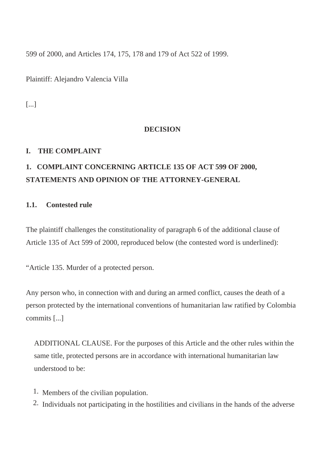599 of 2000, and Articles 174, 175, 178 and 179 of Act 522 of 1999.

Plaintiff: Alejandro Valencia Villa

[...]

### **DECISION**

### **I. THE COMPLAINT**

# **1. COMPLAINT CONCERNING ARTICLE 135 OF ACT 599 OF 2000, STATEMENTS AND OPINION OF THE ATTORNEY-GENERAL**

### **1.1. Contested rule**

The plaintiff challenges the constitutionality of paragraph 6 of the additional clause of Article 135 of Act 599 of 2000, reproduced below (the contested word is underlined):

"Article 135. Murder of a protected person.

Any person who, in connection with and during an armed conflict, causes the death of a person protected by the international conventions of humanitarian law ratified by Colombia commits [...]

ADDITIONAL CLAUSE. For the purposes of this Article and the other rules within the same title, protected persons are in accordance with international humanitarian law understood to be:

- 1. Members of the civilian population.
- 2. Individuals not participating in the hostilities and civilians in the hands of the adverse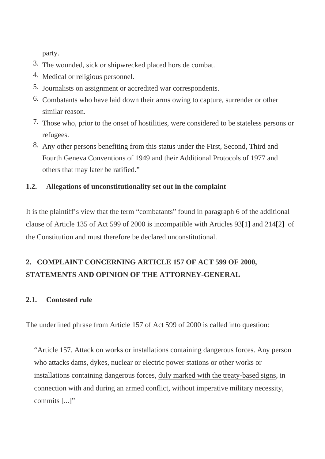<span id="page-2-0"></span>party.

- 3. The wounded, sick or shipwrecked placed hors de combat.
- 4. Medical or religious personnel.
- 5. Journalists on assignment or accredited war correspondents.
- 6. Combatants who have laid down their arms owing to capture, surrender or other similar reason.
- 7. Those who, prior to the onset of hostilities, were considered to be stateless persons or refugees.
- 8. Any other persons benefiting from this status under the First, Second, Third and Fourth Geneva Conventions of 1949 and their Additional Protocols of 1977 and others that may later be ratified."
- 1.2. Allegations of unconstitutionality set out in the complaint

It is the plaintiff's view that the term "combatants" found in paragraph 6 of the additional clause of Article 135 of Act 599 of 2000 is incompatible with Articles pand 2142] of the Constitution and must therefore be declared unconstitutional.

# 2. COMPLAINT CONCERNING ARTICLE 157 OF ACT 599 OF 2000, STATEMENTS AND OPINION OF THE ATTORNEY-GENERAL

### 2.1. Contested rule

The underlined phrase from Article 157 of Act 599 of 2000 is called into question:

"Article 157. Attack on works or installations containing dangerous forces. Any person who attacks dams, dykes, nuclear or electric power stations or other works or installations containing dangerous forces, marked with the treaty-based sigins connection with and during an armed conflict, without imperative military necessity, commits [...]"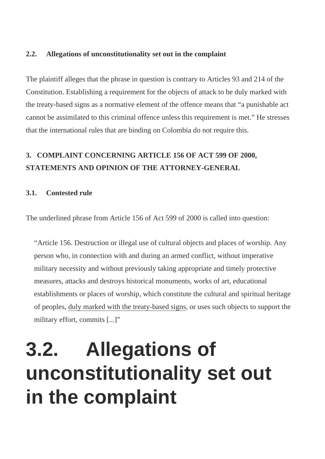### **2.2. Allegations of unconstitutionality set out in the complaint**

The plaintiff alleges that the phrase in question is contrary to Articles 93 and 214 of the Constitution. Establishing a requirement for the objects of attack to be duly marked with the treaty-based signs as a normative element of the offence means that "a punishable act cannot be assimilated to this criminal offence unless this requirement is met." He stresses that the international rules that are binding on Colombia do not require this.

## **3. COMPLAINT CONCERNING ARTICLE 156 OF ACT 599 OF 2000, STATEMENTS AND OPINION OF THE ATTORNEY-GENERAL**

### **3.1. Contested rule**

The underlined phrase from Article 156 of Act 599 of 2000 is called into question:

"Article 156. Destruction or illegal use of cultural objects and places of worship. Any person who, in connection with and during an armed conflict, without imperative military necessity and without previously taking appropriate and timely protective measures, attacks and destroys historical monuments, works of art, educational establishments or places of worship, which constitute the cultural and spiritual heritage of peoples, duly marked with the treaty-based signs, or uses such objects to support the military effort, commits [...]"

# **3.2. Allegations of unconstitutionality set out in the complaint**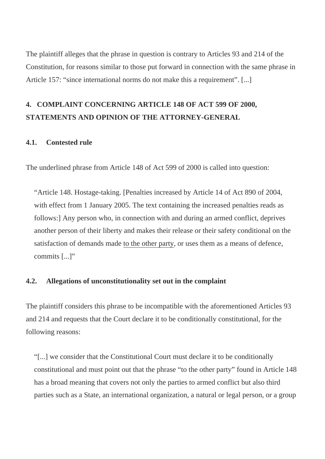The plaintiff alleges that the phrase in question is contrary to Articles 93 and 214 of the Constitution, for reasons similar to those put forward in connection with the same phrase in Article 157: "since international norms do not make this a requirement". [...]

### **4. COMPLAINT CONCERNING ARTICLE 148 OF ACT 599 OF 2000, STATEMENTS AND OPINION OF THE ATTORNEY-GENERAL**

#### **4.1. Contested rule**

The underlined phrase from Article 148 of Act 599 of 2000 is called into question:

"Article 148. Hostage-taking. [Penalties increased by Article 14 of Act 890 of 2004, with effect from 1 January 2005. The text containing the increased penalties reads as follows:] Any person who, in connection with and during an armed conflict, deprives another person of their liberty and makes their release or their safety conditional on the satisfaction of demands made to the other party, or uses them as a means of defence, commits [...]"

#### **4.2. Allegations of unconstitutionality set out in the complaint**

The plaintiff considers this phrase to be incompatible with the aforementioned Articles 93 and 214 and requests that the Court declare it to be conditionally constitutional, for the following reasons:

"[...] we consider that the Constitutional Court must declare it to be conditionally constitutional and must point out that the phrase "to the other party" found in Article 148 has a broad meaning that covers not only the parties to armed conflict but also third parties such as a State, an international organization, a natural or legal person, or a group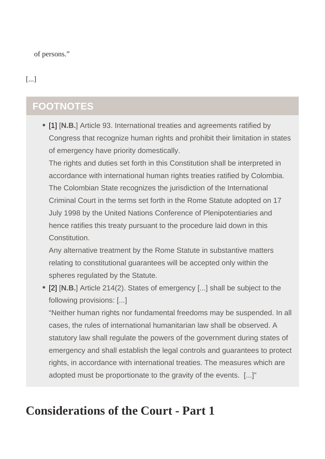### <span id="page-5-0"></span>of persons."

# [...]

# FOOTNOTES

• [\[1\]](#page-2-0) [N.B.] Article 93. International treaties and agreements ratified by Congress that recognize human rights and prohibit their limitation in states of emergency have priority domestically.

The rights and duties set forth in this Constitution shall be interpreted in accordance with international human rights treaties ratified by Colombia. The Colombian State recognizes the jurisdiction of the International Criminal Court in the terms set forth in the Rome Statute adopted on 17 July 1998 by the United Nations Conference of Plenipotentiaries and hence ratifies this treaty pursuant to the procedure laid down in this **Constitution** 

Any alternative treatment by the Rome Statute in substantive matters relating to constitutional guarantees will be accepted only within the spheres regulated by the Statute.

• [\[2\]](#page-2-0) [N.B.] Article 214(2). States of emergency [...] shall be subject to the following provisions: [...]

"Neither human rights nor fundamental freedoms may be suspended. In all cases, the rules of international humanitarian law shall be observed. A statutory law shall regulate the powers of the government during states of emergency and shall establish the legal controls and guarantees to protect rights, in accordance with international treaties. The measures which are adopted must be proportionate to the gravity of the events. [...]"

# Considerations of the Court - Part 1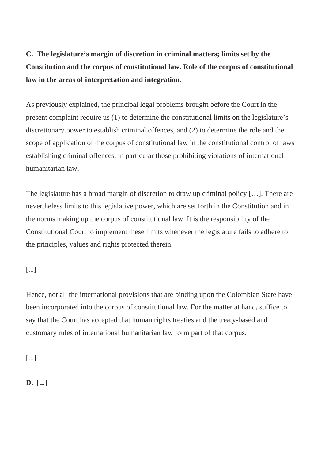# **C. The legislature's margin of discretion in criminal matters; limits set by the Constitution and the corpus of constitutional law. Role of the corpus of constitutional law in the areas of interpretation and integration.**

As previously explained, the principal legal problems brought before the Court in the present complaint require us (1) to determine the constitutional limits on the legislature's discretionary power to establish criminal offences, and (2) to determine the role and the scope of application of the corpus of constitutional law in the constitutional control of laws establishing criminal offences, in particular those prohibiting violations of international humanitarian law.

The legislature has a broad margin of discretion to draw up criminal policy […]. There are nevertheless limits to this legislative power, which are set forth in the Constitution and in the norms making up the corpus of constitutional law. It is the responsibility of the Constitutional Court to implement these limits whenever the legislature fails to adhere to the principles, values and rights protected therein.

[...]

Hence, not all the international provisions that are binding upon the Colombian State have been incorporated into the corpus of constitutional law. For the matter at hand, suffice to say that the Court has accepted that human rights treaties and the treaty-based and customary rules of international humanitarian law form part of that corpus.

[...]

**D. [...]**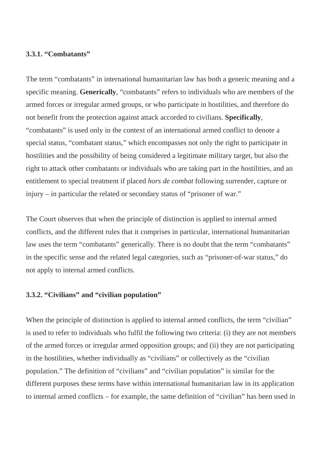#### **3.3.1. "Combatants"**

The term "combatants" in international humanitarian law has both a generic meaning and a specific meaning. **Generically**, "combatants" refers to individuals who are members of the armed forces or irregular armed groups, or who participate in hostilities, and therefore do not benefit from the protection against attack accorded to civilians. **Specifically**, "combatants" is used only in the context of an international armed conflict to denote a special status, "combatant status," which encompasses not only the right to participate in hostilities and the possibility of being considered a legitimate military target, but also the right to attack other combatants or individuals who are taking part in the hostilities, and an entitlement to special treatment if placed *hors de combat* following surrender, capture or injury – in particular the related or secondary status of "prisoner of war."

The Court observes that when the principle of distinction is applied to internal armed conflicts, and the different rules that it comprises in particular, international humanitarian law uses the term "combatants" generically. There is no doubt that the term "combatants" in the specific sense and the related legal categories, such as "prisoner-of-war status," do not apply to internal armed conflicts.

### **3.3.2. "Civilians" and "civilian population"**

When the principle of distinction is applied to internal armed conflicts, the term "civilian" is used to refer to individuals who fulfil the following two criteria: (i) they are not members of the armed forces or irregular armed opposition groups; and (ii) they are not participating in the hostilities, whether individually as "civilians" or collectively as the "civilian population." The definition of "civilians" and "civilian population" is similar for the different purposes these terms have within international humanitarian law in its application to internal armed conflicts – for example, the same definition of "civilian" has been used in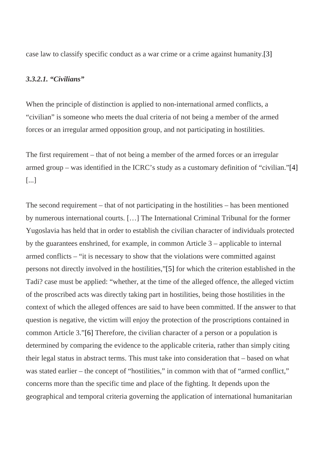<span id="page-8-0"></span>case law to classify specific conduct as a war crime or a crime against hum blanity.

### 3.3.2.1. "Civilians"

When the principle of distinction is applied to non-international armed conflicts, a "civilian" is someone who meets the dual criteria of not being a member of the armed forces or an irregular armed opposition group, and not participating in hostilities.

The first requirement – that of not being a member of the armed forces or an irregular armed group – was identified in the ICRC's study as a customary definition of "civilen" [...]

The second requirement – that of not participating in the hostilities – has been mentioned by numerous international courts. […] The International Criminal Tribunal for the former Yugoslavia has held that in order to establish the civilian character of individuals protected by the guarantees enshrined, for example, in common Article 3 – applicable to internal armed conflicts – "it is necessary to show that the violations were committed against persons not directly involved in the hostiliti[es,"](#page-12-0) for which the criterion established in the Tadi? case must be applied: "whether, at the time of the alleged offence, the alleged victim of the proscribed acts was directly taking part in hostilities, being those hostilities in the context of which the alleged offences are said to have been committed. If the answer to that question is negative, the victim will enjoy the protection of the proscriptions contained in common Article 3.<sup>[6]</sup> Therefore, the civilian character of a person or a population is determined by comparing the evidence to the applicable criteria, rather than simply citing their legal status in abstract terms. This must take into consideration that – based on what was stated earlier – the concept of "hostilities," in common with that of "armed conflict," concerns more than the specific time and place of the fighting. It depends upon the geographical and temporal criteria governing the application of international humanitarian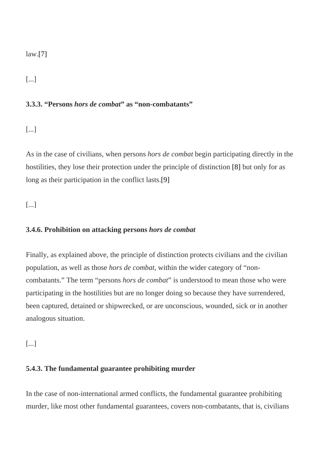### <span id="page-9-0"></span>law[.\[7\]](#page-12-0)

[...]

3.3.3. "Personshors de combatas "non-combatants"

[...]

As in the case of civilians, when personous de combat begin participating directly in the hostilities, they lose their prote[ctio](#page-12-0)n under the principle of distin $68$  but only for as long as their participation in the conflict lass.

[...]

3.4.6. Prohibition on attacking personshors de combat

Finally, as explained above, the principle of distinction protects civilians and the civilian population, as well as thosers de combat within the wider category of "noncombatants." The term "persohers de combat is understood to mean those who were participating in the hostilities but are no longer doing so because they have surrendered, been captured, detained or shipwrecked, or are unconscious, wounded, sick or in another analogous situation.

[...]

5.4.3. The fundamental guarantee prohibiting murder

In the case of non-international armed conflicts, the fundamental guarantee prohibiting murder, like most other fundamental guarantees, covers non-combatants, that is, civilians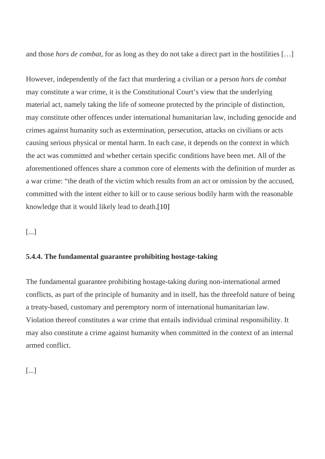<span id="page-10-0"></span>and those hors de combat for as long as they do not take a direct part in the hostilities [...]

However, independently of the fact that murdering a civilian or a personde combat may constitute a war crime, it is the Constitutional Court's view that the underlying material act, namely taking the life of someone protected by the principle of distinction, may constitute other offences under international humanitarian law, including genocide and crimes against humanity such as extermination, persecution, attacks on civilians or acts causing serious physical or mental harm. In each case, it depends on the context in which the act was committed and whether certain specific conditions have been met. All of the aforementioned offences share a common core of elements with the definition of murder as a war crime: "the death of the victim which results from an act or omission by the accused, committed with the intent either to kill or to cause serious bodily harm with the reasonable knowledge that it would likely lead to death0]

[...]

### 5.4.4. The fundamental guarantee prohibiting hostage-taking

The fundamental guarantee prohibiting hostage-taking during non-international armed conflicts, as part of the principle of humanity and in itself, has the threefold nature of being a treaty-based, customary and peremptory norm of international humanitarian law. Violation thereof constitutes a war crime that entails individual criminal responsibility. It may also constitute a crime against humanity when committed in the context of an internal armed conflict.

[...]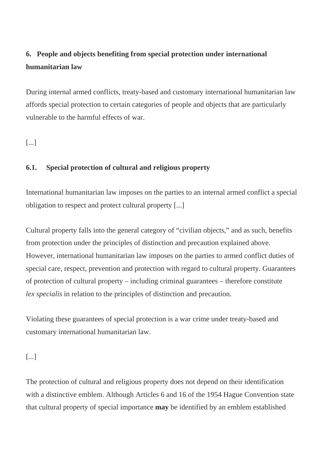# **6. People and objects benefiting from special protection under international humanitarian law**

During internal armed conflicts, treaty-based and customary international humanitarian law affords special protection to certain categories of people and objects that are particularly vulnerable to the harmful effects of war.

[...]

### **6.1. Special protection of cultural and religious property**

International humanitarian law imposes on the parties to an internal armed conflict a special obligation to respect and protect cultural property [...]

Cultural property falls into the general category of "civilian objects," and as such, benefits from protection under the principles of distinction and precaution explained above. However, international humanitarian law imposes on the parties to armed conflict duties of special care, respect, prevention and protection with regard to cultural property. Guarantees of protection of cultural property – including criminal guarantees – therefore constitute *lex specialis* in relation to the principles of distinction and precaution.

Violating these guarantees of special protection is a war crime under treaty-based and customary international humanitarian law.

[...]

The protection of cultural and religious property does not depend on their identification with a distinctive emblem. Although Articles 6 and 16 of the 1954 Hague Convention state that cultural property of special importance **may** be identified by an emblem established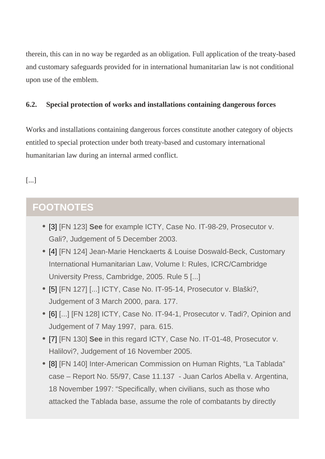<span id="page-12-0"></span>therein, this can in no way be regarded as an obligation. Full application of the treaty-based and customary safeguards provided for in international humanitarian law is not conditional upon use of the emblem.

6.2. Special protection of works and installations containing dangerous forces

Works and installations containing dangerous forces constitute another category of objects entitled to special protection under both treaty-based and customary international humanitarian law during an internal armed conflict.

# [...]

# FOOTNOTES

- [\[3\]](#page-8-0) [FN 123] See for example ICTY, Case No. IT-98-29, Prosecutor v. Gali?, Judgement of 5 December 2003.
- [\[4\]](#page-8-0) [FN 124] Jean-Marie Henckaerts & Louise Doswald-Beck, Customary International Humanitarian Law, Volume I: Rules, ICRC/Cambridge University Press, Cambridge, 2005. Rule 5 [...]
- [\[5\]](#page-8-0) [FN 127] [...] ICTY, Case No. IT-95-14, Prosecutor v. Blaški?, Judgement of 3 March 2000, para. 177.
- [\[6\]](#page-8-0) [...] [FN 128] ICTY, Case No. IT-94-1, Prosecutor v. Tadi?, Opinion and Judgement of 7 May 1997, para. 615.
- [\[7\]](#page-9-0) [FN 130] See in this regard ICTY, Case No. IT-01-48, Prosecutor v. Halilovi?, Judgement of 16 November 2005.
- [\[8\]](#page-9-0) [FN 140] Inter-American Commission on Human Rights, "La Tablada" case – Report No. 55/97, Case 11.137 - Juan Carlos Abella v. Argentina, 18 November 1997: "Specifically, when civilians, such as those who attacked the Tablada base, assume the role of combatants by directly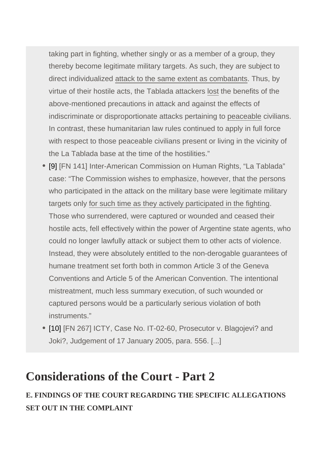<span id="page-13-0"></span>taking part in fighting, whether singly or as a member of a group, they thereby become legitimate military targets. As such, they are subject to direct individualized attack to the same extent as combatants. Thus, by virtue of their hostile acts, the Tablada attackers lost the benefits of the above-mentioned precautions in attack and against the effects of indiscriminate or disproportionate attacks pertaining to peaceable civilians. In contrast, these humanitarian law rules continued to apply in full force with respect to those peaceable civilians present or living in the vicinity of the La Tablada base at the time of the hostilities."

- [\[9\]](#page-9-0) [FN 141] Inter-American Commission on Human Rights, "La Tablada" case: "The Commission wishes to emphasize, however, that the persons who participated in the attack on the military base were legitimate military targets only for such time as they actively participated in the fighting. Those who surrendered, were captured or wounded and ceased their hostile acts, fell effectively within the power of Argentine state agents, who could no longer lawfully attack or subject them to other acts of violence. Instead, they were absolutely entitled to the non-derogable guarantees of humane treatment set forth both in common Article 3 of the Geneva Conventions and Article 5 of the American Convention. The intentional mistreatment, much less summary execution, of such wounded or captured persons would be a particularly serious violation of both instruments."
	- [\[10\]](#page-10-0) [FN 267] ICTY, Case No. IT-02-60, Prosecutor v. Blagojevi? and Joki?, Judgement of 17 January 2005, para. 556. [...]

# Considerations of the Court - Part 2

E. FINDINGS OF THE COURT REGARDING THE SPECIFIC ALLEGATIONS SET OUT IN THE COMPLAINT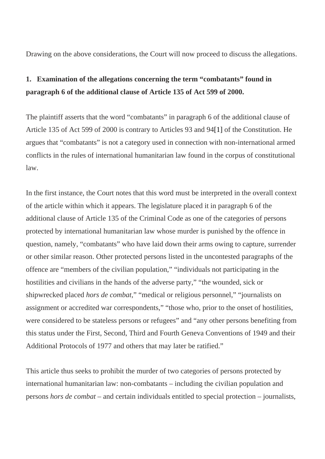<span id="page-14-0"></span>Drawing on the above considerations, the Court will now proceed to discuss the allegations.

1. Examination of the allegations concerning the term "combatants" found in paragraph 6 of the additional clause of Article 135 of Act 599 of 2000.

The plaintiff asserts that the word "combatants" in paragraph 6 of the additional clause of Article 135 of Act 599 of 2000 is contrary to Articles 93 and 1946 the Constitution. He argues that "combatants" is not a category used in connection with non-international armed conflicts in the rules of international humanitarian law found in the corpus of constitutional law.

In the first instance, the Court notes that this word must be interpreted in the overall context of the article within which it appears. The legislature placed it in paragraph 6 of the additional clause of Article 135 of the Criminal Code as one of the categories of persons protected by international humanitarian law whose murder is punished by the offence in question, namely, "combatants" who have laid down their arms owing to capture, surrender or other similar reason. Other protected persons listed in the uncontested paragraphs of the offence are "members of the civilian population," "individuals not participating in the hostilities and civilians in the hands of the adverse party," "the wounded, sick or shipwrecked placed dors de combat "medical or religious personnel," "journalists on assignment or accredited war correspondents," "those who, prior to the onset of hostilities, were considered to be stateless persons or refugees" and "any other persons benefiting from this status under the First, Second, Third and Fourth Geneva Conventions of 1949 and their Additional Protocols of 1977 and others that may later be ratified."

This article thus seeks to prohibit the murder of two categories of persons protected by international humanitarian law: non-combatants – including the civilian population and persons hors de combat and certain individuals entitled to special protection – journalists,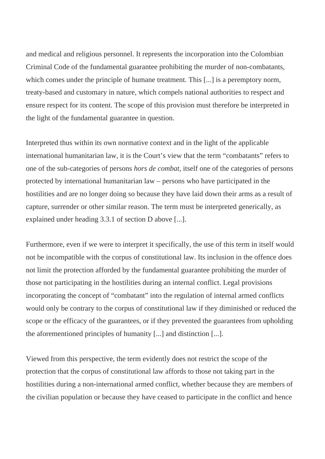and medical and religious personnel. It represents the incorporation into the Colombian Criminal Code of the fundamental guarantee prohibiting the murder of non-combatants, which comes under the principle of humane treatment. This [...] is a peremptory norm, treaty-based and customary in nature, which compels national authorities to respect and ensure respect for its content. The scope of this provision must therefore be interpreted in the light of the fundamental guarantee in question.

Interpreted thus within its own normative context and in the light of the applicable international humanitarian law, it is the Court's view that the term "combatants" refers to one of the sub-categories of persons *hors de combat*, itself one of the categories of persons protected by international humanitarian law – persons who have participated in the hostilities and are no longer doing so because they have laid down their arms as a result of capture, surrender or other similar reason. The term must be interpreted generically, as explained under heading 3.3.1 of section D above [...].

Furthermore, even if we were to interpret it specifically, the use of this term in itself would not be incompatible with the corpus of constitutional law. Its inclusion in the offence does not limit the protection afforded by the fundamental guarantee prohibiting the murder of those not participating in the hostilities during an internal conflict. Legal provisions incorporating the concept of "combatant" into the regulation of internal armed conflicts would only be contrary to the corpus of constitutional law if they diminished or reduced the scope or the efficacy of the guarantees, or if they prevented the guarantees from upholding the aforementioned principles of humanity [...] and distinction [...].

Viewed from this perspective, the term evidently does not restrict the scope of the protection that the corpus of constitutional law affords to those not taking part in the hostilities during a non-international armed conflict, whether because they are members of the civilian population or because they have ceased to participate in the conflict and hence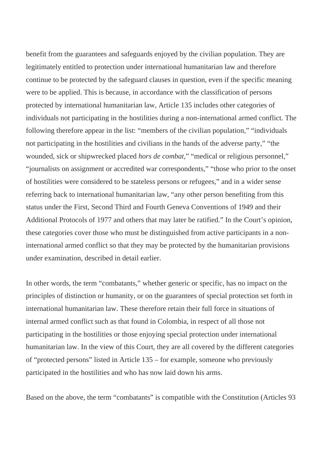benefit from the guarantees and safeguards enjoyed by the civilian population. They are legitimately entitled to protection under international humanitarian law and therefore continue to be protected by the safeguard clauses in question, even if the specific meaning were to be applied. This is because, in accordance with the classification of persons protected by international humanitarian law, Article 135 includes other categories of individuals not participating in the hostilities during a non-international armed conflict. The following therefore appear in the list: "members of the civilian population," "individuals not participating in the hostilities and civilians in the hands of the adverse party," "the wounded, sick or shipwrecked placed *hors de combat*," "medical or religious personnel," "journalists on assignment or accredited war correspondents," "those who prior to the onset of hostilities were considered to be stateless persons or refugees," and in a wider sense referring back to international humanitarian law, "any other person benefiting from this status under the First, Second Third and Fourth Geneva Conventions of 1949 and their Additional Protocols of 1977 and others that may later be ratified." In the Court's opinion, these categories cover those who must be distinguished from active participants in a noninternational armed conflict so that they may be protected by the humanitarian provisions under examination, described in detail earlier.

In other words, the term "combatants," whether generic or specific, has no impact on the principles of distinction or humanity, or on the guarantees of special protection set forth in international humanitarian law. These therefore retain their full force in situations of internal armed conflict such as that found in Colombia, in respect of all those not participating in the hostilities or those enjoying special protection under international humanitarian law. In the view of this Court, they are all covered by the different categories of "protected persons" listed in Article 135 – for example, someone who previously participated in the hostilities and who has now laid down his arms.

Based on the above, the term "combatants" is compatible with the Constitution (Articles 93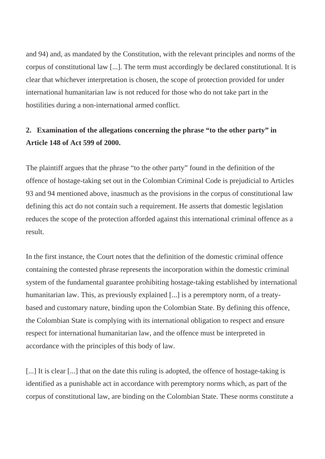and 94) and, as mandated by the Constitution, with the relevant principles and norms of the corpus of constitutional law [...]. The term must accordingly be declared constitutional. It is clear that whichever interpretation is chosen, the scope of protection provided for under international humanitarian law is not reduced for those who do not take part in the hostilities during a non-international armed conflict.

## **2. Examination of the allegations concerning the phrase "to the other party" in Article 148 of Act 599 of 2000.**

The plaintiff argues that the phrase "to the other party" found in the definition of the offence of hostage-taking set out in the Colombian Criminal Code is prejudicial to Articles 93 and 94 mentioned above, inasmuch as the provisions in the corpus of constitutional law defining this act do not contain such a requirement. He asserts that domestic legislation reduces the scope of the protection afforded against this international criminal offence as a result.

In the first instance, the Court notes that the definition of the domestic criminal offence containing the contested phrase represents the incorporation within the domestic criminal system of the fundamental guarantee prohibiting hostage-taking established by international humanitarian law. This, as previously explained [...] is a peremptory norm, of a treatybased and customary nature, binding upon the Colombian State. By defining this offence, the Colombian State is complying with its international obligation to respect and ensure respect for international humanitarian law, and the offence must be interpreted in accordance with the principles of this body of law.

[...] It is clear [...] that on the date this ruling is adopted, the offence of hostage-taking is identified as a punishable act in accordance with peremptory norms which, as part of the corpus of constitutional law, are binding on the Colombian State. These norms constitute a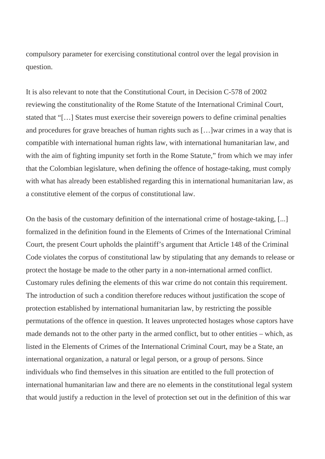compulsory parameter for exercising constitutional control over the legal provision in question.

It is also relevant to note that the Constitutional Court, in Decision C-578 of 2002 reviewing the constitutionality of the Rome Statute of the International Criminal Court, stated that "[…] States must exercise their sovereign powers to define criminal penalties and procedures for grave breaches of human rights such as […]war crimes in a way that is compatible with international human rights law, with international humanitarian law, and with the aim of fighting impunity set forth in the Rome Statute," from which we may infer that the Colombian legislature, when defining the offence of hostage-taking, must comply with what has already been established regarding this in international humanitarian law, as a constitutive element of the corpus of constitutional law.

On the basis of the customary definition of the international crime of hostage-taking, [...] formalized in the definition found in the Elements of Crimes of the International Criminal Court, the present Court upholds the plaintiff's argument that Article 148 of the Criminal Code violates the corpus of constitutional law by stipulating that any demands to release or protect the hostage be made to the other party in a non-international armed conflict. Customary rules defining the elements of this war crime do not contain this requirement. The introduction of such a condition therefore reduces without justification the scope of protection established by international humanitarian law, by restricting the possible permutations of the offence in question. It leaves unprotected hostages whose captors have made demands not to the other party in the armed conflict, but to other entities – which, as listed in the Elements of Crimes of the International Criminal Court, may be a State, an international organization, a natural or legal person, or a group of persons. Since individuals who find themselves in this situation are entitled to the full protection of international humanitarian law and there are no elements in the constitutional legal system that would justify a reduction in the level of protection set out in the definition of this war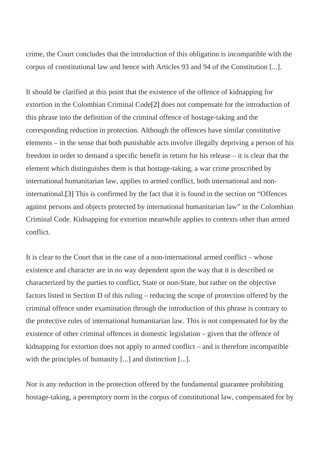<span id="page-19-0"></span>crime, the Court concludes that the introduction of this obligation is incompatible with the corpus of constitutional law and hence with Articles 93 and 94 of the Constitution [...].

It should be clarified at this point that the existence of the offence of kidnapping for extortion in the Colombian Criminal C[ode](#page-21-0) does not compensate for the introduction of this phrase into the definition of the criminal offence of hostage-taking and the corresponding reduction in protection. Although the offences have similar constitutive elements – in the sense that both punishable acts involve illegally depriving a person of his freedom in order to demand a specific benefit in return for his release – it is clear that the element which distinguishes them is that hostage-taking, a war crime proscribed by international humanitarian law, applies to armed conflict, both international and noninternationa<sup>[3]</sup> This is confirmed by the fact that it is found in the section on "Offences" against persons and objects protected by international humanitarian law" in the Colombian Criminal Code. Kidnapping for extortion meanwhile applies to contexts other than armed conflict.

It is clear to the Court that in the case of a non-international armed conflict – whose existence and character are in no way dependent upon the way that it is described or characterized by the parties to conflict, State or non-State, but rather on the objective factors listed in Section D of this ruling – reducing the scope of protection offered by the criminal offence under examination through the introduction of this phrase is contrary to the protective rules of international humanitarian law. This is not compensated for by the existence of other criminal offences in domestic legislation – given that the offence of kidnapping for extortion does not apply to armed conflict – and is therefore incompatible with the principles of humanity [...] and distinction [...].

Nor is any reduction in the protection offered by the fundamental guarantee prohibiting hostage-taking, a peremptory norm in the corpus of constitutional law, compensated for by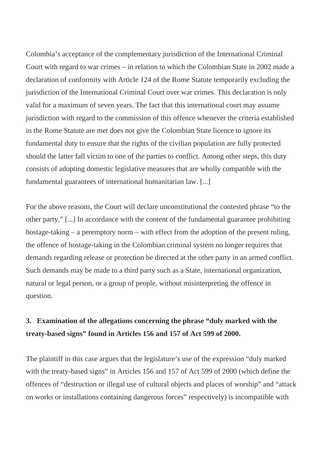Colombia's acceptance of the complementary jurisdiction of the International Criminal Court with regard to war crimes – in relation to which the Colombian State in 2002 made a declaration of conformity with Article 124 of the Rome Statute temporarily excluding the jurisdiction of the International Criminal Court over war crimes. This declaration is only valid for a maximum of seven years. The fact that this international court may assume jurisdiction with regard to the commission of this offence whenever the criteria established in the Rome Statute are met does not give the Colombian State licence to ignore its fundamental duty to ensure that the rights of the civilian population are fully protected should the latter fall victim to one of the parties to conflict. Among other steps, this duty consists of adopting domestic legislative measures that are wholly compatible with the fundamental guarantees of international humanitarian law. [...]

For the above reasons, the Court will declare unconstitutional the contested phrase "to the other party." [...] In accordance with the content of the fundamental guarantee prohibiting hostage-taking – a peremptory norm – with effect from the adoption of the present ruling, the offence of hostage-taking in the Colombian criminal system no longer requires that demands regarding release or protection be directed at the other party in an armed conflict. Such demands may be made to a third party such as a State, international organization, natural or legal person, or a group of people, without misinterpreting the offence in question.

### **3. Examination of the allegations concerning the phrase "duly marked with the treaty-based signs" found in Articles 156 and 157 of Act 599 of 2000.**

The plaintiff in this case argues that the legislature's use of the expression "duly marked with the treaty-based signs" in Articles 156 and 157 of Act 599 of 2000 (which define the offences of "destruction or illegal use of cultural objects and places of worship" and "attack on works or installations containing dangerous forces" respectively) is incompatible with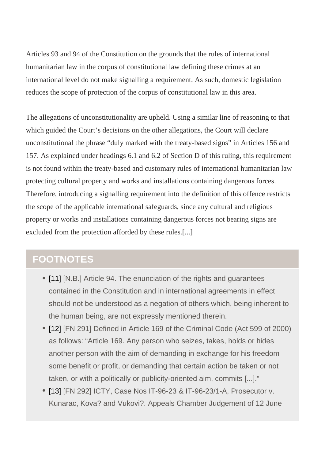<span id="page-21-0"></span>Articles 93 and 94 of the Constitution on the grounds that the rules of international humanitarian law in the corpus of constitutional law defining these crimes at an international level do not make signalling a requirement. As such, domestic legislation reduces the scope of protection of the corpus of constitutional law in this area.

The allegations of unconstitutionality are upheld. Using a similar line of reasoning to that which guided the Court's decisions on the other allegations, the Court will declare unconstitutional the phrase "duly marked with the treaty-based signs" in Articles 156 and 157. As explained under headings 6.1 and 6.2 of Section D of this ruling, this requirement is not found within the treaty-based and customary rules of international humanitarian law protecting cultural property and works and installations containing dangerous forces. Therefore, introducing a signalling requirement into the definition of this offence restricts the scope of the applicable international safeguards, since any cultural and religious property or works and installations containing dangerous forces not bearing signs are excluded from the protection afforded by these rules.[...]

# FOOTNOTES

- [\[11\]](#page-14-0) [N.B.] Article 94. The enunciation of the rights and guarantees contained in the Constitution and in international agreements in effect should not be understood as a negation of others which, being inherent to the human being, are not expressly mentioned therein.
- [\[12\]](#page-19-0) [FN 291] Defined in Article 169 of the Criminal Code (Act 599 of 2000) as follows: "Article 169. Any person who seizes, takes, holds or hides another person with the aim of demanding in exchange for his freedom some benefit or profit, or demanding that certain action be taken or not taken, or with a politically or publicity-oriented aim, commits [...]."
- [\[13\]](#page-19-0) [FN 292] ICTY, Case Nos IT-96-23 & IT-96-23/1-A, Prosecutor v. Kunarac, Kova? and Vukovi?. Appeals Chamber Judgement of 12 June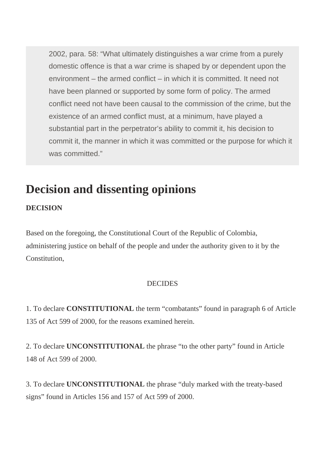2002, para. 58: "What ultimately distinguishes a war crime from a purely domestic offence is that a war crime is shaped by or dependent upon the environment – the armed conflict – in which it is committed. It need not have been planned or supported by some form of policy. The armed conflict need not have been causal to the commission of the crime, but the existence of an armed conflict must, at a minimum, have played a substantial part in the perpetrator's ability to commit it, his decision to commit it, the manner in which it was committed or the purpose for which it was committed."

# **Decision and dissenting opinions**

### **DECISION**

Based on the foregoing, the Constitutional Court of the Republic of Colombia, administering justice on behalf of the people and under the authority given to it by the Constitution,

### DECIDES

1. To declare **CONSTITUTIONAL** the term "combatants" found in paragraph 6 of Article 135 of Act 599 of 2000, for the reasons examined herein.

2. To declare **UNCONSTITUTIONAL** the phrase "to the other party" found in Article 148 of Act 599 of 2000.

3. To declare **UNCONSTITUTIONAL** the phrase "duly marked with the treaty-based signs" found in Articles 156 and 157 of Act 599 of 2000.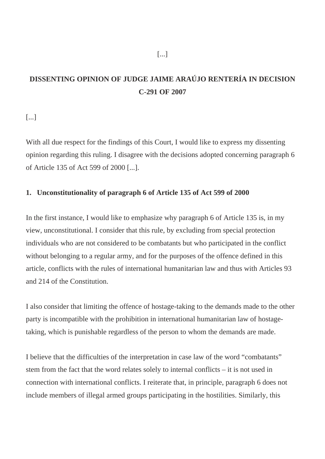# **DISSENTING OPINION OF JUDGE JAIME ARAÚJO RENTERÍA IN DECISION C-291 OF 2007**

[...]

With all due respect for the findings of this Court, I would like to express my dissenting opinion regarding this ruling. I disagree with the decisions adopted concerning paragraph 6 of Article 135 of Act 599 of 2000 [...].

### **1. Unconstitutionality of paragraph 6 of Article 135 of Act 599 of 2000**

In the first instance, I would like to emphasize why paragraph 6 of Article 135 is, in my view, unconstitutional. I consider that this rule, by excluding from special protection individuals who are not considered to be combatants but who participated in the conflict without belonging to a regular army, and for the purposes of the offence defined in this article, conflicts with the rules of international humanitarian law and thus with Articles 93 and 214 of the Constitution.

I also consider that limiting the offence of hostage-taking to the demands made to the other party is incompatible with the prohibition in international humanitarian law of hostagetaking, which is punishable regardless of the person to whom the demands are made.

I believe that the difficulties of the interpretation in case law of the word "combatants" stem from the fact that the word relates solely to internal conflicts – it is not used in connection with international conflicts. I reiterate that, in principle, paragraph 6 does not include members of illegal armed groups participating in the hostilities. Similarly, this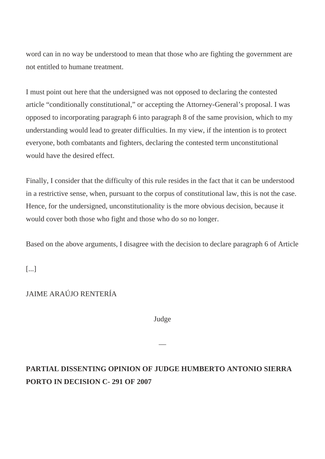word can in no way be understood to mean that those who are fighting the government are not entitled to humane treatment.

I must point out here that the undersigned was not opposed to declaring the contested article "conditionally constitutional," or accepting the Attorney-General's proposal. I was opposed to incorporating paragraph 6 into paragraph 8 of the same provision, which to my understanding would lead to greater difficulties. In my view, if the intention is to protect everyone, both combatants and fighters, declaring the contested term unconstitutional would have the desired effect.

Finally, I consider that the difficulty of this rule resides in the fact that it can be understood in a restrictive sense, when, pursuant to the corpus of constitutional law, this is not the case. Hence, for the undersigned, unconstitutionality is the more obvious decision, because it would cover both those who fight and those who do so no longer.

Based on the above arguments, I disagree with the decision to declare paragraph 6 of Article

[...]

### JAIME ARAÚJO RENTERÍA

Judge

—

# **PARTIAL DISSENTING OPINION OF JUDGE HUMBERTO ANTONIO SIERRA PORTO IN DECISION C- 291 OF 2007**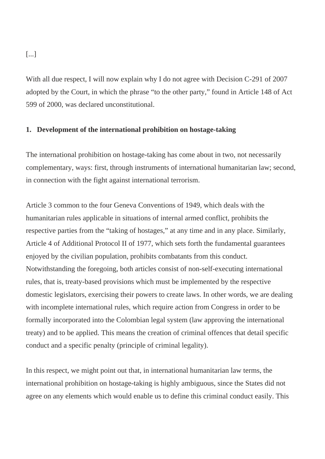With all due respect, I will now explain why I do not agree with Decision C-291 of 2007 adopted by the Court, in which the phrase "to the other party," found in Article 148 of Act 599 of 2000, was declared unconstitutional.

#### **1. Development of the international prohibition on hostage-taking**

The international prohibition on hostage-taking has come about in two, not necessarily complementary, ways: first, through instruments of international humanitarian law; second, in connection with the fight against international terrorism.

Article 3 common to the four Geneva Conventions of 1949, which deals with the humanitarian rules applicable in situations of internal armed conflict, prohibits the respective parties from the "taking of hostages," at any time and in any place. Similarly, Article 4 of Additional Protocol II of 1977, which sets forth the fundamental guarantees enjoyed by the civilian population, prohibits combatants from this conduct. Notwithstanding the foregoing, both articles consist of non-self-executing international rules, that is, treaty-based provisions which must be implemented by the respective domestic legislators, exercising their powers to create laws. In other words, we are dealing with incomplete international rules, which require action from Congress in order to be formally incorporated into the Colombian legal system (law approving the international treaty) and to be applied. This means the creation of criminal offences that detail specific conduct and a specific penalty (principle of criminal legality).

In this respect, we might point out that, in international humanitarian law terms, the international prohibition on hostage-taking is highly ambiguous, since the States did not agree on any elements which would enable us to define this criminal conduct easily. This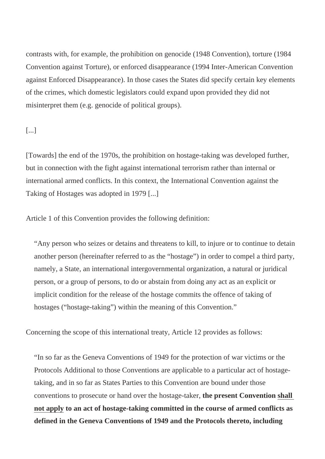contrasts with, for example, the prohibition on genocide (1948 Convention), torture (1984 Convention against Torture), or enforced disappearance (1994 Inter-American Convention against Enforced Disappearance). In those cases the States did specify certain key elements of the crimes, which domestic legislators could expand upon provided they did not misinterpret them (e.g. genocide of political groups).

### [...]

[Towards] the end of the 1970s, the prohibition on hostage-taking was developed further, but in connection with the fight against international terrorism rather than internal or international armed conflicts. In this context, the International Convention against the Taking of Hostages was adopted in 1979 [...]

Article 1 of this Convention provides the following definition:

"Any person who seizes or detains and threatens to kill, to injure or to continue to detain another person (hereinafter referred to as the "hostage") in order to compel a third party, namely, a State, an international intergovernmental organization, a natural or juridical person, or a group of persons, to do or abstain from doing any act as an explicit or implicit condition for the release of the hostage commits the offence of taking of hostages ("hostage-taking") within the meaning of this Convention."

Concerning the scope of this international treaty, Article 12 provides as follows:

"In so far as the Geneva Conventions of 1949 for the protection of war victims or the Protocols Additional to those Conventions are applicable to a particular act of hostagetaking, and in so far as States Parties to this Convention are bound under those conventions to prosecute or hand over the hostage-taker, **the present Convention shall not apply to an act of hostage-taking committed in the course of armed conflicts as defined in the Geneva Conventions of 1949 and the Protocols thereto, including**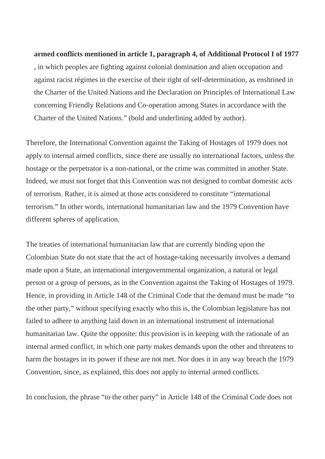**armed conflicts mentioned in article 1, paragraph 4, of Additional Protocol I of 1977** , in which peoples are fighting against colonial domination and alien occupation and against racist régimes in the exercise of their right of self-determination, as enshrined in the Charter of the United Nations and the Declaration on Principles of International Law concerning Friendly Relations and Co-operation among States in accordance with the Charter of the United Nations." (bold and underlining added by author).

Therefore, the International Convention against the Taking of Hostages of 1979 does not apply to internal armed conflicts, since there are usually no international factors, unless the hostage or the perpetrator is a non-national, or the crime was committed in another State. Indeed, we must not forget that this Convention was not designed to combat domestic acts of terrorism. Rather, it is aimed at those acts considered to constitute "international terrorism." In other words, international humanitarian law and the 1979 Convention have different spheres of application.

The treaties of international humanitarian law that are currently binding upon the Colombian State do not state that the act of hostage-taking necessarily involves a demand made upon a State, an international intergovernmental organization, a natural or legal person or a group of persons, as in the Convention against the Taking of Hostages of 1979. Hence, in providing in Article 148 of the Criminal Code that the demand must be made "to the other party," without specifying exactly who this is, the Colombian legislature has not failed to adhere to anything laid down in an international instrument of international humanitarian law. Quite the opposite: this provision is in keeping with the rationale of an internal armed conflict, in which one party makes demands upon the other and threatens to harm the hostages in its power if these are not met. Nor does it in any way breach the 1979 Convention, since, as explained, this does not apply to internal armed conflicts.

In conclusion, the phrase "to the other party" in Article 148 of the Criminal Code does not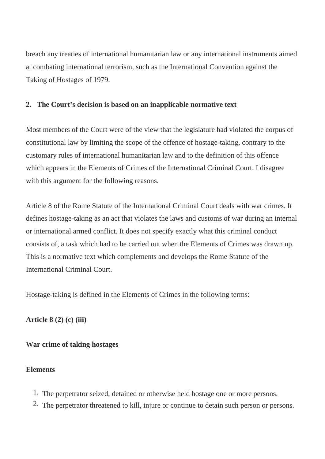breach any treaties of international humanitarian law or any international instruments aimed at combating international terrorism, such as the International Convention against the Taking of Hostages of 1979.

### **2. The Court's decision is based on an inapplicable normative text**

Most members of the Court were of the view that the legislature had violated the corpus of constitutional law by limiting the scope of the offence of hostage-taking, contrary to the customary rules of international humanitarian law and to the definition of this offence which appears in the Elements of Crimes of the International Criminal Court. I disagree with this argument for the following reasons.

Article 8 of the Rome Statute of the International Criminal Court deals with war crimes. It defines hostage-taking as an act that violates the laws and customs of war during an internal or international armed conflict. It does not specify exactly what this criminal conduct consists of, a task which had to be carried out when the Elements of Crimes was drawn up. This is a normative text which complements and develops the Rome Statute of the International Criminal Court.

Hostage-taking is defined in the Elements of Crimes in the following terms:

**Article 8 (2) (c) (iii)**

### **War crime of taking hostages**

### **Elements**

- 1. The perpetrator seized, detained or otherwise held hostage one or more persons.
- 2. The perpetrator threatened to kill, injure or continue to detain such person or persons.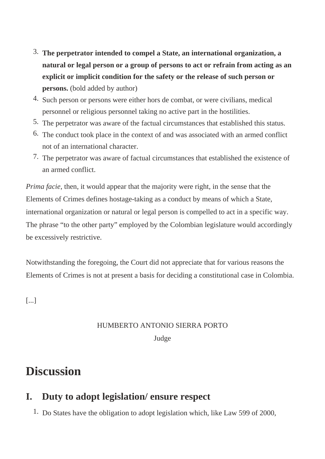- 3. **The perpetrator intended to compel a State, an international organization, a natural or legal person or a group of persons to act or refrain from acting as an explicit or implicit condition for the safety or the release of such person or persons.** (bold added by author)
- 4. Such person or persons were either hors de combat, or were civilians, medical personnel or religious personnel taking no active part in the hostilities.
- 5. The perpetrator was aware of the factual circumstances that established this status.
- 6. The conduct took place in the context of and was associated with an armed conflict not of an international character.
- 7. The perpetrator was aware of factual circumstances that established the existence of an armed conflict.

*Prima facie*, then, it would appear that the majority were right, in the sense that the Elements of Crimes defines hostage-taking as a conduct by means of which a State, international organization or natural or legal person is compelled to act in a specific way. The phrase "to the other party" employed by the Colombian legislature would accordingly be excessively restrictive.

Notwithstanding the foregoing, the Court did not appreciate that for various reasons the Elements of Crimes is not at present a basis for deciding a constitutional case in Colombia.

[...]

### HUMBERTO ANTONIO SIERRA PORTO Judge

# **Discussion**

# **I. Duty to adopt legislation/ ensure respect**

1. Do States have the obligation to adopt legislation which, like Law 599 of 2000,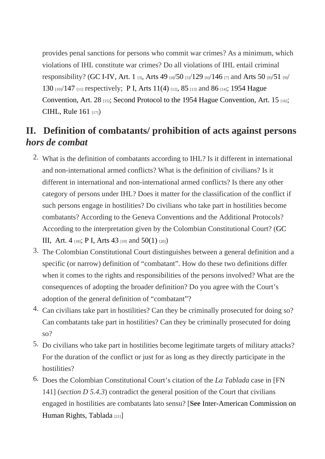provides penal sanctions for persons who commit war crimes? As a minimum, which violations of IHL constitute war crimes? Do all violations of IHL entail criminal responsibility? GC I-IV, Art. 1 [3], Arts  $49_{[4]}/50_{[5]}/129_{[6]}/146_{[7]}$  $49_{[4]}/50_{[5]}/129_{[6]}/146_{[7]}$  $49_{[4]}/50_{[5]}/129_{[6]}/146_{[7]}$  $49_{[4]}/50_{[5]}/129_{[6]}/146_{[7]}$  $49_{[4]}/50_{[5]}/129_{[6]}/146_{[7]}$  $49_{[4]}/50_{[5]}/129_{[6]}/146_{[7]}$  $49_{[4]}/50_{[5]}/129_{[6]}/146_{[7]}$  and Arts  $50_{[8]}/51_{[9]}/$  $50_{[8]}/51_{[9]}/$  $50_{[8]}/51_{[9]}/$  $130$ <sub>[10]</sub>/[147](https://www.icrc.org/applic/ihl/ihl.nsf/Article.xsp?action=openDocument&documentId=F8D322BF3C0216B2C12563CD0051C654)<sub>[11]</sub> respectively; [P I, Arts 11\(4](https://www.icrc.org/applic/ihl/ihl.nsf/Article.xsp?action=openDocument&documentId=28D300B20C31500CC12563CD0051D79F))<sub>[12]</sub>, [85](https://www.icrc.org/applic/ihl/ihl.nsf/Article.xsp?action=openDocument&documentId=73D05A98B6CEB566C12563CD0051E1A0)<sub>[13]</sub> and [86](https://www.icrc.org/applic/ihl/ihl.nsf/Article.xsp?action=openDocument&documentId=043A5B6666FA92E6C12563CD0051E1E7)<sub>[14]</sub>; [1954 Hague](https://www.icrc.org/applic/ihl/ihl.nsf/Article.xsp?action=openDocument&documentId=92AA9B56D96489D3C12563CD0051CC40) [Convention, Art. 28](https://www.icrc.org/applic/ihl/ihl.nsf/Article.xsp?action=openDocument&documentId=92AA9B56D96489D3C12563CD0051CC40)<sup>[5]</sup>; [Second Protocol to the 1954 Hague Convention, Ar](https://www.icrc.org/applic/ihl/ihl.nsf/Article.xsp?action=openDocument&documentId=48083752D709C74F412567BB00560E35)t. 15 CIHL, Rule  $161_{[17]}$ 

# II. Definition of combatants/ prohibition of acts against persons hors de combat

- 2. What is the definition of combatants according to IHL? Is it different in international and non-international armed conflicts? What is the definition of civilians? Is it different in international and non-international armed conflicts? Is there any other category of persons under IHL? Does it matter for the classification of the conflict if such persons engage in hostilities? Do civilians who take part in hostilities become combatants? According to the Geneva Conventions and the Additional Protocols? According to the interpretation given by the Colombian Constitutional CoDC? ( [III, Art. 4](https://www.icrc.org/applic/ihl/ihl.nsf/Article.xsp?action=openDocument&documentId=2F681B08868538C2C12563CD0051AA8D) [18]; P I, Arts  $43<sub>[19]</sub>$  and  $50(1)_{[20]}$
- 3. The Colombian Constitutional Court distinguishes between a general definition and a specific (or narrow) definition of "combatant". How do these two definitions differ when it comes to the rights and responsibilities of the persons involved? What are the consequences of adopting the broader definition? Do you agree with the Court's adoption of the general definition of "combatant"?
- 4. Can civilians take part in hostilities? Can they be criminally prosecuted for doing so? Can combatants take part in hostilities? Can they be criminally prosecuted for doing so?
- 5. Do civilians who take part in hostilities become legitimate targets of military attacks? For the duration of the conflict or just for as long as they directly participate in the hostilities?
- 6. Does the Colombian Constitutional Court's citation of La Tablada case in [FN] 141] (section D 5.4. B contradict the general position of the Court that civilians engaged in hostilities are combatants lato ser**See** *inter-American Commission on* [Human Rights, Tablad](https://casebook.icrc.org/case-study/inter-american-commission-human-rights-tablada)a<sub>[</sub>]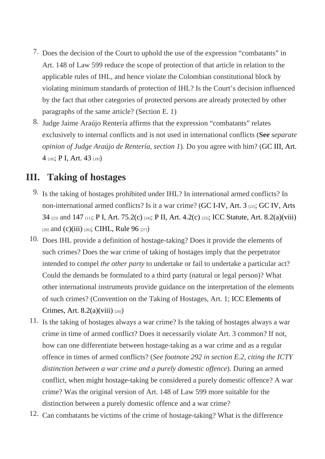- 7. Does the decision of the Court to uphold the use of the expression "combatants" in Art. 148 of Law 599 reduce the scope of protection of that article in relation to the applicable rules of IHL, and hence violate the Colombian constitutional block by violating minimum standards of protection of IHL? Is the Court's decision influenced by the fact that other categories of protected persons are already protected by other paragraphs of the same article? (Section E. 1)
- 8. Judge Jaime Araújo Rentería affirms that the expression "combatants" relates exclusively to internal conflicts and is not used in international conflicts exergency opinion of Judge Araújo de Rentería, section Do you agree with him? GC III, Art. [4](https://www.icrc.org/applic/ihl/ihl.nsf/Article.xsp?action=openDocument&documentId=2F681B08868538C2C12563CD0051AA8D) [18]; [P I, Art. 43](https://www.icrc.org/applic/ihl/ihl.nsf/Article.xsp?action=openDocument&documentId=AF64638EB5530E58C12563CD0051DB93)[19])

# III. Taking of hostages

- 9. Is the taking of hostages prohibited under IHL? In international armed conflicts? In non-international armed conflicts? Is it a war crim<sup>g</sup>  $\mathbb{C}$  (I-IV, Art. 3 [22]; GC IV, Arts [34](https://www.icrc.org/applic/ihl/ihl.nsf/Article.xsp?action=openDocument&documentId=B97E89741917B99CC12563CD0051BC50)<sub>[23]</sub> and [147](https://www.icrc.org/applic/ihl/ihl.nsf/Article.xsp?action=openDocument&documentId=F8D322BF3C0216B2C12563CD0051C654)<sub>[11]</sub>; [P I, Art. 75.2\(c](https://www.icrc.org/applic/ihl/ihl.nsf/Article.xsp?action=openDocument&documentId=086F4BB140C53655C12563CD0051E027))<sub>24]</sub>; [P II, Art. 4.2\(c\)](https://www.icrc.org/applic/ihl/ihl.nsf/Article.xsp?action=openDocument&documentId=F9CBD575D47CA6C8C12563CD0051E783)<sub>[25]</sub>; [ICC Statute, Art. 8.2\(a\)\(vii](https://www.icrc.org/applic/ihl/ihl.nsf/Article.xsp?action=openDocument&documentId=E4C44E2F1347B99D412566900046EACB)i)  $_{[26]}$  and (c) (iii)  $_{[26]}$ ; [CIHL, Rule 96](https://www.icrc.org/customary-ihl/eng/docs/v1_rul_rule96) $_{[27]}$ )
- 10. Does IHL provide a definition of hostage-taking? Does it provide the elements of such crimes? Does the war crime of taking of hostages imply that the perpetrator intended to compethe other party to undertake or fail to undertake a particular act? Could the demands be formulated to a third party (natural or legal person)? What other international instruments provide guidance on the interpretation of the elements of such crimes? (Convention on the Taking of Hostages, AICC Elements of Crimes, Art.  $8.2(a)(viii)_{26}$
- 11. Is the taking of hostages always a war crime? Is the taking of hostages always a war crime in time of armed conflict? Does it necessarily violate Art. 3 common? If not, how can one differentiate between hostage-taking as a war crime and as a regular offence in times of armed conflicts Sete footnote 292 in section E.2, citing the ICTY distinction between a war crime and a purely domestic offeDaeing an armed conflict, when might hostage-taking be considered a purely domestic offence? A war crime? Was the original version of Art. 148 of Law 599 more suitable for the distinction between a purely domestic offence and a war crime?
- 12. Can combatants be victims of the crime of hostage-taking? What is the difference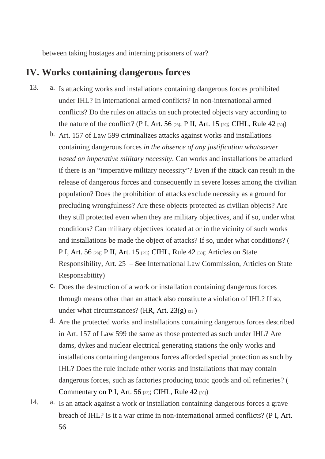between taking hostages and interning prisoners of war?

# IV. Works containing dangerous forces

- 13. a. Is attacking works and installations containing dangerous forces prohibited under IHL? In international armed conflicts? In non-international armed conflicts? Do the rules on attacks on such protected objects vary according to the nature of the conflict  $P(I, Art. 56_{[28]}; P II, Art. 15_{[29]}; CIHL, Rule 42_{[30]})$  $P(I, Art. 56_{[28]}; P II, Art. 15_{[29]}; CIHL, Rule 42_{[30]})$  $P(I, Art. 56_{[28]}; P II, Art. 15_{[29]}; CIHL, Rule 42_{[30]})$  $P(I, Art. 56_{[28]}; P II, Art. 15_{[29]}; CIHL, Rule 42_{[30]})$  $P(I, Art. 56_{[28]}; P II, Art. 15_{[29]}; CIHL, Rule 42_{[30]})$ 
	- b. Art. 157 of Law 599 criminalizes attacks against works and installations containing dangerous forces the absence of any justification whatsoever based on imperative military necessiBan works and installations be attacked if there is an "imperative military necessity"? Even if the attack can result in the release of dangerous forces and consequently in severe losses among the civilian population? Does the prohibition of attacks exclude necessity as a ground for precluding wrongfulness? Are these objects protected as civilian objects? Are they still protected even when they are military objectives, and if so, under what conditions? Can military objectives located at or in the vicinity of such works and installations be made the object of attacks? If so, under what conditions? ( P I, Art.  $56_{[28]}$ ; P II, Art.  $15_{[29]}$ ; CIHL, Rule  $42_{[30]}$ ; Articles on State Responsibility, Art. 25 SeeInternational Law Commission, Articles on State Responsabitity)
	- c. Does the destruction of a work or installation containing dangerous forces through means other than an attack also constitute a violation of IHL? If so, under what circumstance  $\mathbb{R}$ , Art. 23(g)[31])
	- d. Are the protected works and installations containing dangerous forces described in Art. 157 of Law 599 the same as those protected as such under IHL? Are dams, dykes and nuclear electrical generating stations the only works and installations containing dangerous forces afforded special protection as such by IHL? Does the rule include other works and installations that may contain dangerous forces, such as factories producing toxic goods and oil refineries? ( Commentary on P I, Art.  $56<sub>2</sub>$ ; CIHL, Rule  $42<sub>[30]</sub>$ )
- 14. a. Is an attack against a work or installation containing dangerous forces a grave breach of IHL? Is it a war crime in non-international armed conflicts? Art. [56](https://ihl-databases.icrc.org/applic/ihl/ihl.nsf/ART/470-750071?OpenDocument)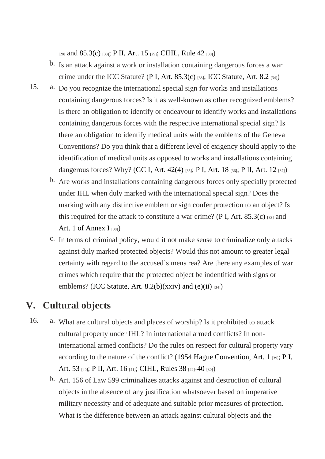[28] and [85.3\(c\)](https://ihl-databases.icrc.org/applic/ihl/ihl.nsf/ART/470-750111?OpenDocument)[33]; [P II, Art. 15](https://ihl-databases.icrc.org/applic/ihl/ihl.nsf/ART/475-760021?OpenDocument)[29]; [CIHL, Rule 42](https://ihl-databases.icrc.org/customary-ihl/eng/docs/v1_rul_rule42)[30])

- b. Is an attack against a work or installation containing dangerous forces a war crime under the ICC Statute? (, Art. 85.3(c) $_{33}$ ; [ICC Statute, Art. 8.](https://ihl-databases.icrc.org/applic/ihl/ihl.nsf/ART/585-9?OpenDocument)2 $_{4}$ ])
- 15. a. Do you recognize the international special sign for works and installations containing dangerous forces? Is it as well-known as other recognized emblems? Is there an obligation to identify or endeavour to identify works and installations containing dangerous forces with the respective international special sign? Is there an obligation to identify medical units with the emblems of the Geneva Conventions? Do you think that a different level of exigency should apply to the identification of medical units as opposed to works and installations containing dangerous forces? WhyGC I, Art.  $42(4)_{[35]}$ ; [P I, Art. 18](https://ihl-databases.icrc.org/applic/ihl/ihl.nsf/ART/470-750023?OpenDocument) $_{[36]}$ ; [P II, Art. 12](https://ihl-databases.icrc.org/applic/ihl/ihl.nsf/ART/475-760017?OpenDocument) $_{[37]}$ )
	- b. Are works and installations containing dangerous forces only specially protected under IHL when duly marked with the international special sign? Does the marking with any distinctive emblem or sign confer protection to an object? Is this required for the attack to constitute a war crimele? Art. 85.3(c) $_{33}$  and Art. 1 of Annex  $I_{[38]}$
	- c. In terms of criminal policy, would it not make sense to criminalize only attacks against duly marked protected objects? Would this not amount to greater legal certainty with regard to the accused's mens rea? Are there any examples of war crimes which require that the protected object be indentified with signs or emblems? ICC Statute, Art. 8.2(b)(xxiv) and  $(e)(i)_{1}$

# V. Cultural objects

- 16. a. What are cultural objects and places of worship? Is it prohibited to attack cultural property under IHL? In international armed conflicts? In noninternational armed conflicts? Do the rules on respect for cultural property vary according to the nature of the conflict? (B54 Hague Convention, Art. 134); P I, [Art. 53](https://ihl-databases.icrc.org/applic/ihl/ihl.nsf/ART/470-750068?OpenDocument)<sup>[40]</sup>; [P II, Art. 16](https://ihl-databases.icrc.org/applic/ihl/ihl.nsf/ART/475-760022?OpenDocument)<sup>[41]</sup>; [CIHL, Rules 38](https://ihl-databases.icrc.org/customary-ihl/eng/docs/v1_rul_rule38)<sup>[42][-40](https://ihl-databases.icrc.org/customary-ihl/eng/docs/v1_rul_rule42)</sup><sup>[30]</sup>)
	- b. Art. 156 of Law 599 criminalizes attacks against and destruction of cultural objects in the absence of any justification whatsoever based on imperative military necessity and of adequate and suitable prior measures of protection. What is the difference between an attack against cultural objects and the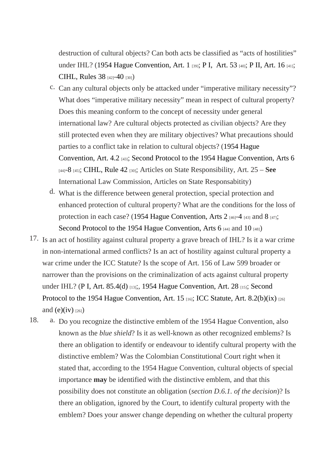destruction of cultural objects? Can both acts be classified as "acts of hostilities" under IHL? (1954 Haque Convention, Art. [34]; [P I, Art. 53](https://ihl-databases.icrc.org/applic/ihl/ihl.nsf/ART/470-750068?OpenDocument) $_{[40]}$ ; [P II, Art. 16](https://ihl-databases.icrc.org/applic/ihl/ihl.nsf/ART/475-760022?OpenDocument) $_{[41]}$ ; CIHL, Rules  $38_{421} - 40_{[301]}$ 

- c. Can any cultural objects only be attacked under "imperative military necessity"? What does "imperative military necessity" mean in respect of cultural property? Does this meaning conform to the concept of necessity under general international law? Are cultural objects protected as civilian objects? Are they still protected even when they are military objectives? What precautions should parties to a conflict take in relation to cultural objects954 Haque [Convention, Art. 4.](https://ihl-databases.icrc.org/applic/ihl/ihl.nsf/Article.xsp?action=openDocument&documentId=03075F79C5B74085C12563CD0051662E)2<sup>3</sup> Cassi, [Second Protocol to the 1954 Hague Convention, A](https://ihl-databases.icrc.org/applic/ihl/ihl.nsf/ART/590-6?OpenDocument)rts 6  $_{[44]}$ [-8](https://ihl-databases.icrc.org/applic/ihl/ihl.nsf/ART/590-8?OpenDocument) $_{[45]}$ ; [CIHL, Rule 42](https://ihl-databases.icrc.org/customary-ihl/eng/docs/v1_rul_rule42) $_{[30]}$ ; Articles on State Responsibility, Art. 25 See International Law Commission, Articles on State Responsabitity)
- d. What is the difference between general protection, special protection and enhanced protection of cultural property? What are the conditions for the loss of protection in each case  $P\left( \frac{954}{4} \text{ Hague Convention}, \text{ ArtS}_4\right)$  $P\left( \frac{954}{4} \text{ Hague Convention}, \text{ ArtS}_4\right)$  $P\left( \frac{954}{4} \text{ Hague Convention}, \text{ ArtS}_4\right)$  and  $\left( \frac{47}{4}\right)$ ; [Second Protocol to the 1954 Hague Convention, A](https://ihl-databases.icrc.org/applic/ihl/ihl.nsf/ART/590-6?OpenDocument)nts 6 an[d 10](https://ihl-databases.icrc.org/applic/ihl/ihl.nsf/ART/590-10?OpenDocument) [48]
- 17. Is an act of hostility against cultural property a grave breach of IHL? Is it a war crime in non-international armed conflicts? Is an act of hostility against cultural property a war crime under the ICC Statute? Is the scope of Art. 156 of Law 599 broader or narrower than the provisions on the criminalization of acts against cultural property under IHL? P I, Art. 85.4(d)<sub>[13]</sub>;, [1954 Hague Convention, Art.](https://www.icrc.org/applic/ihl/ihl.nsf/Article.xsp?action=openDocument&documentId=92AA9B56D96489D3C12563CD0051CC40) 28; [Second](https://www.icrc.org/applic/ihl/ihl.nsf/Article.xsp?action=openDocument&documentId=48083752D709C74F412567BB00560E35) Protocol to the 1954 Hague Convention,  $Art_{41}$  [5ICC Statute, Art. 8.2(b)(ix) $_{61}$ and  $(e)(iv)_{[26]}$
- 18. a. Do you recognize the distinctive emblem of the 1954 Hague Convention, also known as the blue shield? Is it as well-known as other recognized emblems? Is there an obligation to identify or endeavour to identify cultural property with the distinctive emblem? Was the Colombian Constitutional Court right when it stated that, according to the 1954 Hague Convention, cultural objects of special importance may be identified with the distinctive emblem, and that this possibility does not constitute an obligation angelerion D.6.1. of the decisions there an obligation, ignored by the Court, to identify cultural property with the emblem? Does your answer change depending on whether the cultural property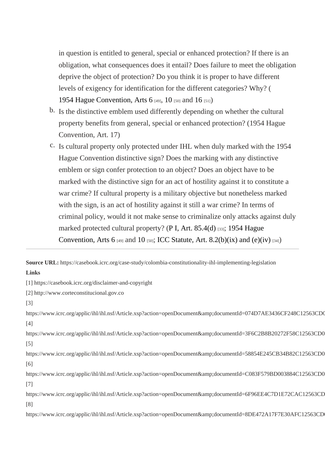in question is entitled to general, special or enhanced protection? If there is an obligation, what consequences does it entail? Does failure to meet the obligation deprive the object of protection? Do you think it is proper to have different levels of exigency for identification for the different categories? Why? ( [1954 Hague Convention, Arts](https://ihl-databases.icrc.org/applic/ihl/ihl.nsf/Article.xsp?action=openDocument&documentId=FC793177CA9A6F37C12563CD00516650) 46, [10](https://ihl-databases.icrc.org/applic/ihl/ihl.nsf/ART/195-200020?OpenDocument) [50] and [16](https://ihl-databases.icrc.org/applic/ihl/ihl.nsf/ART/195-200026?OpenDocument) [51])

- b. Is the distinctive emblem used differently depending on whether the cultural property benefits from general, special or enhanced protection? (1954 Hague Convention, Art. 17)
- c. Is cultural property only protected under IHL when duly marked with the 1954 Hague Convention distinctive sign? Does the marking with any distinctive emblem or sign confer protection to an object? Does an object have to be marked with the distinctive sign for an act of hostility against it to constitute a war crime? If cultural property is a military objective but nonetheless marked with the sign, is an act of hostility against it still a war crime? In terms of criminal policy, would it not make sense to criminalize only attacks against duly marked protected cultural property? If Art. 85.4(d) $_{33}$ ; [1954 Hague](https://ihl-databases.icrc.org/applic/ihl/ihl.nsf/Article.xsp?action=openDocument&documentId=FC793177CA9A6F37C12563CD00516650) [Convention, Arts](https://ihl-databases.icrc.org/applic/ihl/ihl.nsf/Article.xsp?action=openDocument&documentId=FC793177CA9A6F37C12563CD00516650)  $\mathfrak{g}_{9}$  an[d 10](https://ihl-databases.icrc.org/applic/ihl/ihl.nsf/ART/195-200020?OpenDocument)<sub>[50]</sub>; [ICC Statute, Art. 8.2\(b\)\(ix\) and \(e\)\(i](https://ihl-databases.icrc.org/applic/ihl/ihl.nsf/ART/585-9?OpenDocument)<sub>k</sub>)<sub>1</sub>)

Source URL: https://casebook.icrc.org/case-study/colombia-constitutionality-ihl-implementing-legislation Links

[1] https://casebook.icrc.org/disclaimer-and-copyright

[2] http://www.corteconstitucional.gov.co

[3]

https://www.icrc.org/applic/ihl/ihl.nsf/Article.xsp?action=openDocument&documentId=074D7AE3436CF248C12 [4]

https://www.icrc.org/applic/ihl/ihl.nsf/Article.xsp?action=openDocument&documentId=3F6C2B8B20272F58C12 [5]

https://www.icrc.org/applic/ihl/ihl.nsf/Article.xsp?action=openDocument&documentId=58854E245CB34B82C12 [6]

https://www.icrc.org/applic/ihl/ihl.nsf/Article.xsp?action=openDocument&documentId=C083F579BD003884C12 [7]

https://www.icrc.org/applic/ihl/ihl.nsf/Article.xsp?action=openDocument&documentId=6F96EE4C7D1E72CAC1 [8]

https://www.icrc.org/applic/ihl/ihl.nsf/Article.xsp?action=openDocument&documentId=8DE472A17F7E30AFC12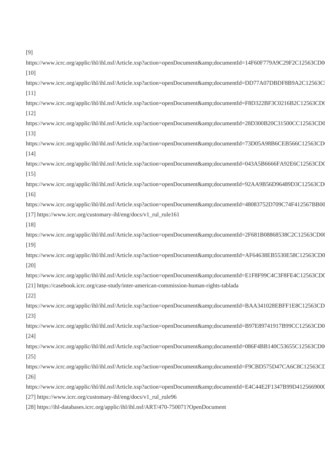[9]

| https://www.icrc.org/applic/ihl/ihl.nsf/Article.xsp?action=openDocument&documentId=14F60F779A9C29F2C12563CD0  |  |
|---------------------------------------------------------------------------------------------------------------|--|
| $[10]$                                                                                                        |  |
| https://www.icrc.org/applic/ihl/ihl.nsf/Article.xsp?action=openDocument&documentId=DD77A07DBDF8B9A2C12563Cl   |  |
| $[11]$                                                                                                        |  |
| https://www.icrc.org/applic/ihl/ihl.nsf/Article.xsp?action=openDocument&documentId=F8D322BF3C0216B2C12563CD(  |  |
| $[12]$                                                                                                        |  |
| https://www.icrc.org/applic/ihl/ihl.nsf/Article.xsp?action=openDocument&documentId=28D300B20C31500CC12563CD0  |  |
| $[13]$                                                                                                        |  |
| https://www.icrc.org/applic/ihl/ihl.nsf/Article.xsp?action=openDocument&documentId=73D05A98B6CEB566C12563CD   |  |
| $[14]$                                                                                                        |  |
| https://www.icrc.org/applic/ihl/ihl.nsf/Article.xsp?action=openDocument&documentId=043A5B6666FA92E6C12563CD(  |  |
| $[15]$                                                                                                        |  |
| https://www.icrc.org/applic/ihl/ihl.nsf/Article.xsp?action=openDocument&documentId=92AA9B56D96489D3C12563CD   |  |
| $[16]$                                                                                                        |  |
| https://www.icrc.org/applic/ihl/ihl.nsf/Article.xsp?action=openDocument&documentId=48083752D709C74F412567BB00 |  |
| [17] https://www.icrc.org/customary-ihl/eng/docs/v1_rul_rule161                                               |  |
| $[18]$                                                                                                        |  |
| https://www.icrc.org/applic/ihl/ihl.nsf/Article.xsp?action=openDocument&documentId=2F681B08868538C2C12563CD00 |  |
| $[19]$                                                                                                        |  |
| https://www.icrc.org/applic/ihl/ihl.nsf/Article.xsp?action=openDocument&documentId=AF64638EB5530E58C12563CD0  |  |
| $[20]$                                                                                                        |  |
| https://www.icrc.org/applic/ihl/ihl.nsf/Article.xsp?action=openDocument&documentId=E1F8F99C4C3F8FE4C12563CD(  |  |
| [21] https://casebook.icrc.org/case-study/inter-american-commission-human-rights-tablada                      |  |
| $[22]$                                                                                                        |  |
| https://www.icrc.org/applic/ihl/ihl.nsf/Article.xsp?action=openDocument&documentId=BAA341028EBFF1E8C12563CD   |  |
| $[23]$                                                                                                        |  |
| https://www.icrc.org/applic/ihl/ihl.nsf/Article.xsp?action=openDocument&documentId=B97E89741917B99CC12563CD0  |  |
| $[24]$                                                                                                        |  |
| https://www.icrc.org/applic/ihl/ihl.nsf/Article.xsp?action=openDocument&documentId=086F4BB140C53655C12563CD0  |  |
| $[25]$                                                                                                        |  |
| https://www.icrc.org/applic/ihl/ihl.nsf/Article.xsp?action=openDocument&documentId=F9CBD575D47CA6C8C12563CI   |  |
| $[26]$                                                                                                        |  |
| https://www.icrc.org/applic/ihl/ihl.nsf/Article.xsp?action=openDocument&documentId=E4C44E2F1347B99D4125669000 |  |
| [27] https://www.icrc.org/customary-ihl/eng/docs/v1_rul_rule96                                                |  |
| [28] https://ihl-databases.icrc.org/applic/ihl/ihl.nsf/ART/470-750071?OpenDocument                            |  |